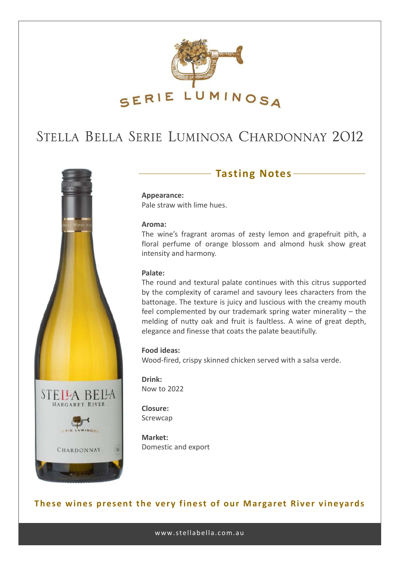

# STELLA BELLA SERIE LUMINOSA CHARDONNAY 2012



### **Tasting Notes**

**Appearance:** Pale straw with lime hues.

#### **Aroma:**

The wine's fragrant aromas of zesty lemon and grapefruit pith, a floral perfume of orange blossom and almond husk show great intensity and harmony.

#### **Palate:**

The round and textural palate continues with this citrus supported by the complexity of caramel and savoury lees characters from the battonage. The texture is juicy and luscious with the creamy mouth feel complemented by our trademark spring water minerality – the melding of nutty oak and fruit is faultless. A wine of great depth, elegance and finesse that coats the palate beautifully.

#### **Food ideas:**

Wood-fired, crispy skinned chicken served with a salsa verde.

**Drink:** Now to 2022

**Closure:** Screwcap

**Market:** Domestic and export

### **These wines present the very finest of our Margaret River vineyards**

www.stellabella.com.au